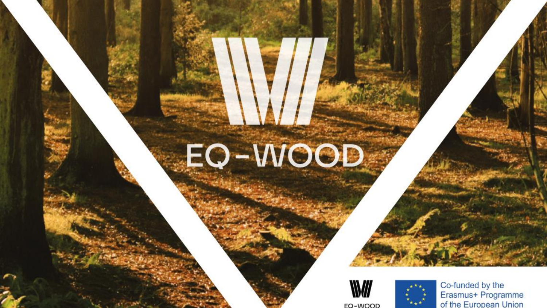# **Intellectual Output 3** EQ-WOOD





E-Learning Platform

Co-funded by the Erasmus+ Programme of the European Union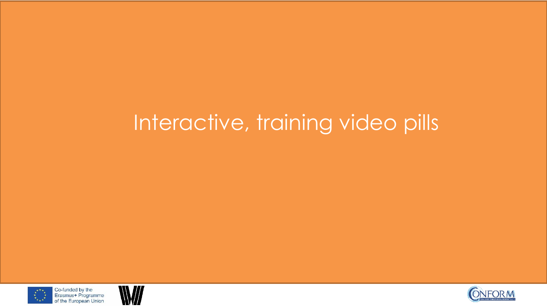# Interactive, training video pills





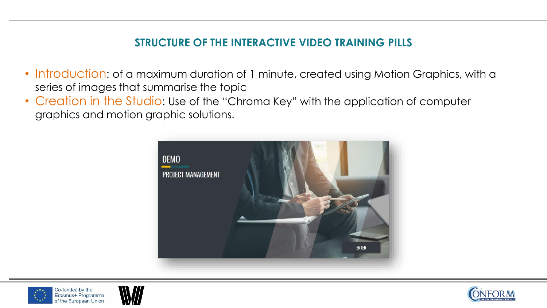#### **STRUCTURE OF THE INTERACTIVE VIDEO TRAINING PILLS**

- Introduction: of a maximum duration of 1 minute, created using Motion Graphics, with a series of images that summarise the topic
- Creation in the Studio: Use of the "Chroma Key" with the application of computer graphics and motion graphic solutions.







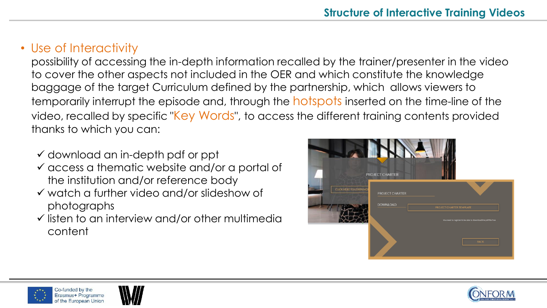## • Use of Interactivity

possibility of accessing the in-depth information recalled by the trainer/presenter in the video to cover the other aspects not included in the OER and which constitute the knowledge baggage of the target Curriculum defined by the partnership, which allows viewers to temporarily interrupt the episode and, through the **hotspots** inserted on the time-line of the video, recalled by specific "Key Words", to access the different training contents provided thanks to which you can:

- $\checkmark$  download an in-depth pdf or ppt
- $\checkmark$  access a thematic website and/or a portal of the institution and/or reference body
- ✓ watch a further video and/or slideshow of photographs
- $\checkmark$  listen to an interview and/or other multimedia content







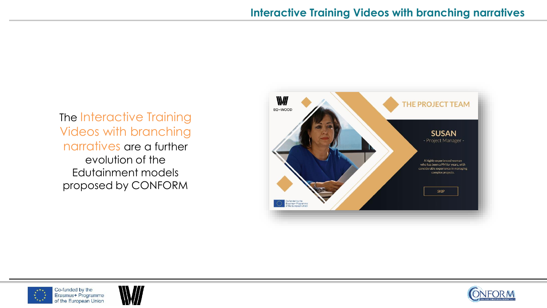The Interactive Training Videos with branching narratives are a further evolution of the Edutainment models proposed by CONFORM







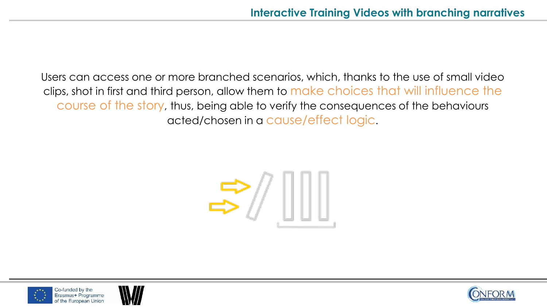Users can access one or more branched scenarios, which, thanks to the use of small video clips, shot in first and third person, allow them to make choices that will influence the course of the story, thus, being able to verify the consequences of the behaviours acted/chosen in a cause/effect logic.





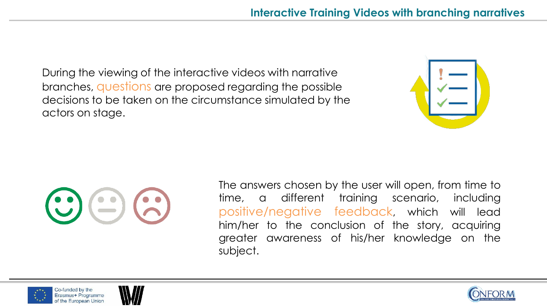During the viewing of the interactive videos with narrative branches, questions are proposed regarding the possible decisions to be taken on the circumstance simulated by the actors on stage.





The answers chosen by the user will open, from time to time, a different training scenario, including positive/negative feedback, which will lead him/her to the conclusion of the story, acquiring greater awareness of his/her knowledge on the subject.





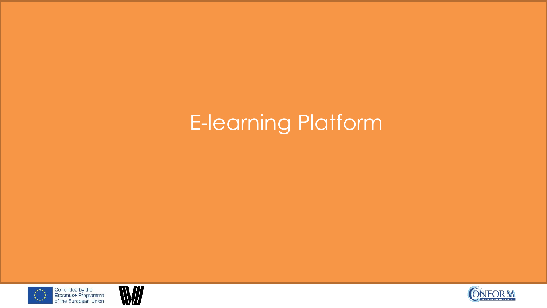# E-learning Platform





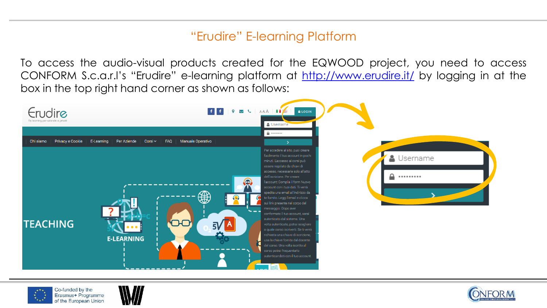### "Erudire" E-learning Platform

To access the audio-visual products created for the EQWOOD project, you need to access CONFORM S.c.a.r.l's "Erudire" e-learning platform at [http://www.erudire.it/](http://www.educare.conform.it/) by logging in at the box in the top right hand corner as shown as follows:







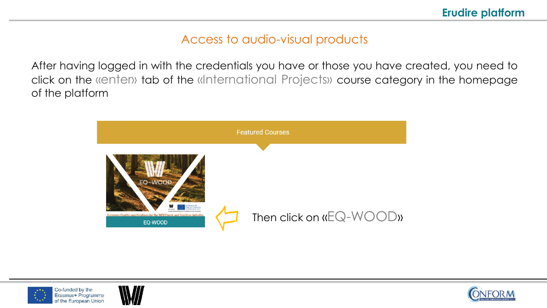### Access to audio-visual products

After having logged in with the credentials you have or those you have created, you need to click on the «enter» tab of the «International Projects» course category in the homepage of the platform







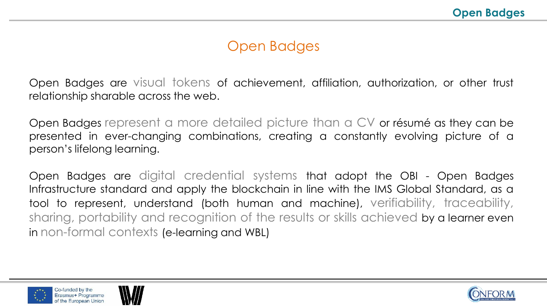## Open Badges

Open Badges are visual tokens of achievement, affiliation, authorization, or other trust relationship sharable across the web.

Open Badges represent a more detailed picture than a CV or résumé as they can be presented in ever-changing combinations, creating a constantly evolving picture of a person's lifelong learning.

Open Badges are digital credential systems that adopt the OBI - Open Badges Infrastructure standard and apply the blockchain in line with the IMS Global Standard, as a tool to represent, understand (both human and machine), verifiability, traceability, sharing, portability and recognition of the results or skills achieved by a learner even in non-formal contexts (e-learning and WBL)





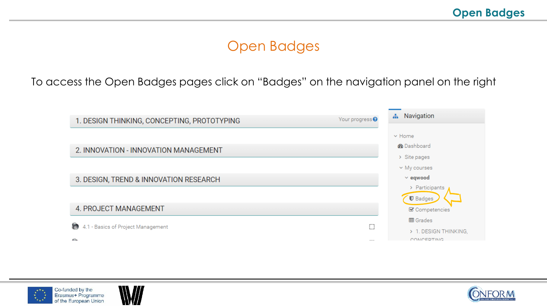## Open Badges

To access the Open Badges pages click on "Badges" on the navigation panel on the right







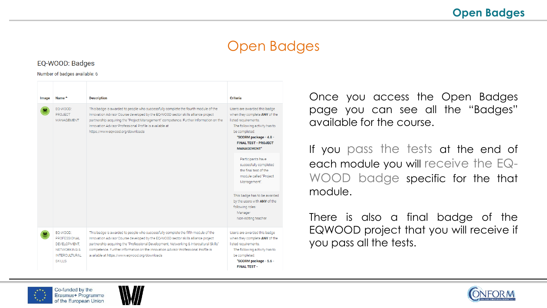## Open Badges

#### EQ-WOOD: Badges

#### Number of badges available: 6

| Image | Name <sup>+</sup>                                                                                 | <b>Description</b>                                                                                                                                                                                                                                                                                                                                                                                      | <b>Criteria</b>                                                                                                                                                                                                        |
|-------|---------------------------------------------------------------------------------------------------|---------------------------------------------------------------------------------------------------------------------------------------------------------------------------------------------------------------------------------------------------------------------------------------------------------------------------------------------------------------------------------------------------------|------------------------------------------------------------------------------------------------------------------------------------------------------------------------------------------------------------------------|
|       | FO-WOOD:<br><b>PROJECT</b><br><b>MANAGEMENT</b>                                                   | This badge is awarded to people who successfully complete the fourth module of the<br>Innovation Advisor Course developed by the EQ-WOOD sector skills alliance project<br>partnership acquiring the "Project Management" competence. Further information on the<br>Innovation Advisor Professional Profile is available at<br>https://www.eqwood.org/downloads                                         | Users are awarded this badge<br>when they complete ANY of the<br>listed requirements.<br>The following activity has to<br>be completed:<br>"SCORM package - 4.8 -<br><b>FINAL TEST - PROJECT</b><br><b>MANAGEMENT"</b> |
|       |                                                                                                   |                                                                                                                                                                                                                                                                                                                                                                                                         | Participants have<br>succesfully completed<br>the final test of the<br>module called "Project"<br>Management".                                                                                                         |
|       |                                                                                                   |                                                                                                                                                                                                                                                                                                                                                                                                         | This badge has to be awarded<br>by the users with ANY of the<br>following roles:<br>Manager<br>Non-editing teacher                                                                                                     |
|       | FO-WOOD:<br>PROFESSIONAL<br>DEVELOPMENT.<br>NETWORKING &<br><b>INTERCULTURAL</b><br><b>SKILLS</b> | This badge is awarded to people who successfully complete the fifth module of the<br>Innovation Advisor Course developed by the EQ-WOOD sector skills alliance project<br>partnership acquiring the "Professional Development, Networking & Intercultural Skills"<br>competence. Further information on the Innovation Advisor Professional Profile is<br>available at https://www.eqwood.org/downloads | Users are awarded this badge<br>when they complete ANY of the<br>listed requirements.<br>The following activity has to<br>be completed:<br>"SCORM package - 5.6 -<br><b>FINAL TEST -</b>                               |

Once you access the Open Badges page you can see all the "Badges" available for the course.

If you pass the tests at the end of each module you will receive the EQ-WOOD badge specific for the that module.

There is also a final badge of the EQWOOD project that you will receive if you pass all the tests.





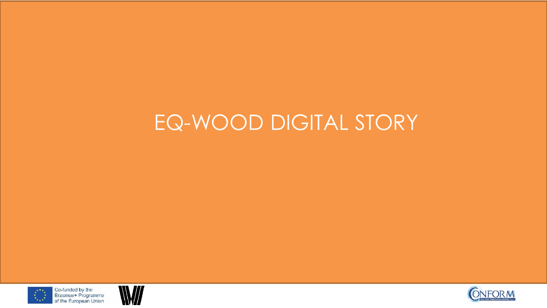# EQ-WOOD DIGITAL STORY